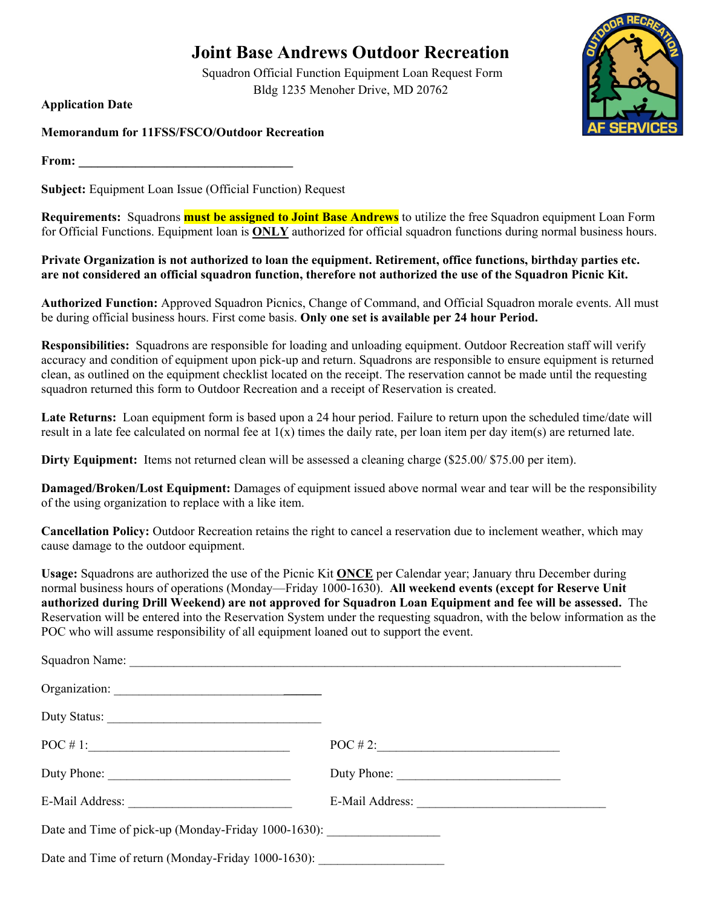## **Joint Base Andrews Outdoor Recreation**

Squadron Official Function Equipment Loan Request Form Bldg 1235 Menoher Drive, MD 20762

**Application Date** 

**Memorandum for 11FSS/FSCO/Outdoor Recreation** 

**From:**  $\blacksquare$ 

**Subject:** Equipment Loan Issue (Official Function) Request

**Requirements:** Squadrons **must be assigned to Joint Base Andrews** to utilize the free Squadron equipment Loan Form for Official Functions. Equipment loan is **ONLY** authorized for official squadron functions during normal business hours.

**Private Organization is not authorized to loan the equipment. Retirement, office functions, birthday parties etc. are not considered an official squadron function, therefore not authorized the use of the Squadron Picnic Kit.** 

**Authorized Function:** Approved Squadron Picnics, Change of Command, and Official Squadron morale events. All must be during official business hours. First come basis. **Only one set is available per 24 hour Period.** 

**Responsibilities:** Squadrons are responsible for loading and unloading equipment. Outdoor Recreation staff will verify accuracy and condition of equipment upon pick-up and return. Squadrons are responsible to ensure equipment is returned clean, as outlined on the equipment checklist located on the receipt. The reservation cannot be made until the requesting squadron returned this form to Outdoor Recreation and a receipt of Reservation is created.

**Late Returns:** Loan equipment form is based upon a 24 hour period. Failure to return upon the scheduled time/date will result in a late fee calculated on normal fee at  $1(x)$  times the daily rate, per loan item per day item(s) are returned late.

**Dirty Equipment:** Items not returned clean will be assessed a cleaning charge (\$25.00/ \$75.00 per item).

**Damaged/Broken/Lost Equipment:** Damages of equipment issued above normal wear and tear will be the responsibility of the using organization to replace with a like item.

**Cancellation Policy:** Outdoor Recreation retains the right to cancel a reservation due to inclement weather, which may cause damage to the outdoor equipment.

**Usage:** Squadrons are authorized the use of the Picnic Kit **ONCE** per Calendar year; January thru December during normal business hours of operations (Monday—Friday 1000-1630). **All weekend events (except for Reserve Unit authorized during Drill Weekend) are not approved for Squadron Loan Equipment and fee will be assessed.** The Reservation will be entered into the Reservation System under the requesting squadron, with the below information as the POC who will assume responsibility of all equipment loaned out to support the event.

| Duty Phone:                                                                      | Duty Phone: |
|----------------------------------------------------------------------------------|-------------|
|                                                                                  |             |
| Date and Time of pick-up (Monday-Friday 1000-1630): ____________________________ |             |
| Date and Time of return (Monday-Friday 1000-1630):                               |             |